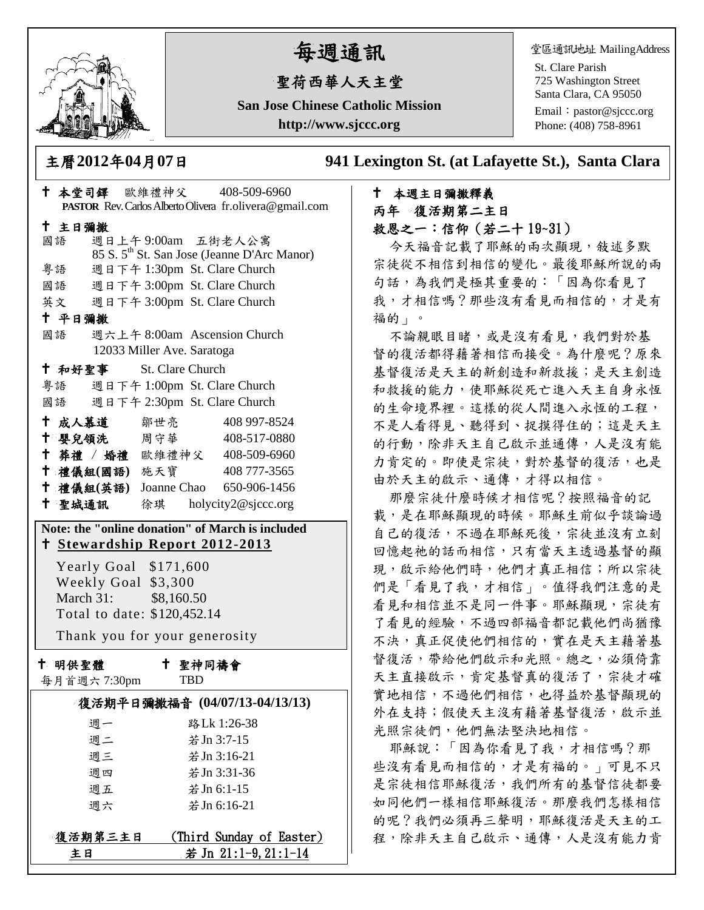

# 每週通訊

# 聖荷西華人天主堂

**San Jose Chinese Catholic Mission http://www.sjccc.org**

堂區通訊地址 MailingAddress

St. Clare Parish 725 Washington Street Santa Clara, CA 95050

Email: [pastor@sjccc.org](mailto:pastor@sjccc.org) Phone: (408) 758-8961

主曆**2012**年**04**月**07**日 **941 Lexington St. (at Lafayette St.), Santa Clara** 

# 本週主日彌撒釋義 丙年 復活期第二主日 救恩之一:信仰(若二十 19~31)

今天福音記載了耶穌的兩次顯現, 敍述多默 宗徒從不相信到相信的變化。最後耶穌所說的兩 句話,為我們是極其重要的:「因為你看見了 我,才相信嗎?那些沒有看見而相信的,才是有 福的」。

不論親眼目睹,或是沒有看見,我們對於基 督的復活都得藉著相信而接受。為什麼呢?原來 基督復活是天主的新創造和新救援;是天主創造 和救援的能力,使耶穌從死亡進入天主自身永恆 的生命境界裡。這樣的從人間進入永恆的工程, 不是人看得見、聽得到、捉摸得住的;這是天主 的行動,除非天主自己啟示並通傳,人是沒有能 力肯定的。即使是宗徒,對於基督的復活,也是 由於天主的啟示、通傳,才得以相信。

那麼宗徒什麼時候才相信呢?按照福音的記 載,是在耶穌顯現的時候。耶穌生前似乎談論過 自己的復活,不過在耶穌死後,宗徒並沒有立刻 回憶起祂的話而相信,只有當天主透過基督的顯 現,啟示給他們時,他們才真正相信;所以宗徒 們是「看見了我,才相信」。值得我們注意的是 看見和相信並不是同一件事。耶穌顯現,宗徒有 了看見的經驗,不過四部福音都記載他們尚猶豫 不決,真正促使他們相信的,實在是天主藉著基 督復活,帶給他們啟示和光照。總之,必須倚靠 天主直接啟示,肯定基督真的復活了,宗徒才確 實地相信,不過他們相信,也得益於基督顯現的 外在支持;假使天主沒有藉著基督復活,啟示並 光照宗徒們,他們無法堅決地相信。

耶穌說:「因為你看見了我,才相信嗎?那 些沒有看見而相信的,才是有福的。」可見不只 是宗徒相信耶穌復活,我們所有的基督信徒都要 如同他們一樣相信耶穌復活。那麼我們怎樣相信 的呢?我們必須再三聲明,耶穌復活是天主的工 程,除非天主自己啟示、通傳,人是沒有能力肯

|                                                  |                                                                 |                                    | † 本堂司鐸 歐維禮神父 408-509-6960<br>PASTOR Rev. Carlos Alberto Olivera fr.olivera@gmail.com |
|--------------------------------------------------|-----------------------------------------------------------------|------------------------------------|--------------------------------------------------------------------------------------|
|                                                  | 十 主日彌撒                                                          |                                    |                                                                                      |
|                                                  | 國語                                                              | 週日上午9:00am 五街老人公寓                  |                                                                                      |
|                                                  |                                                                 |                                    | 85 S. 5 <sup>th</sup> St. San Jose (Jeanne D'Arc Manor)                              |
|                                                  | 粵語                                                              | 週日下午 1:30pm St. Clare Church       |                                                                                      |
|                                                  |                                                                 | 國語 週日下午 3:00pm St. Clare Church    |                                                                                      |
|                                                  | 英文<br>週日下午 3:00pm St. Clare Church                              |                                    |                                                                                      |
|                                                  | 十 平日彌撒                                                          |                                    |                                                                                      |
|                                                  | 週六上午 8:00am Ascension Church<br>國語                              |                                    |                                                                                      |
| 12033 Miller Ave. Saratoga                       |                                                                 |                                    |                                                                                      |
|                                                  |                                                                 | <sup>†</sup> 和好聖事 St. Clare Church |                                                                                      |
|                                                  | 粤語 週日下午 1:00pm St. Clare Church<br>週日下午 2:30pm St. Clare Church |                                    |                                                                                      |
|                                                  | 國語                                                              |                                    |                                                                                      |
|                                                  | 十 成人慕道   鄒世亮                                                    |                                    | 408 997-8524                                                                         |
|                                                  | 十 嬰兒領洗 周守華                                                      |                                    | 408-517-0880                                                                         |
|                                                  |                                                                 |                                    | + 葬禮 / 婚禮 歐維禮神父 408-509-6960                                                         |
|                                                  |                                                                 |                                    | † 禮儀組(國語) 施天寶 408777-3565                                                            |
|                                                  |                                                                 |                                    | <sup>†</sup> 禮儀組(英語) Joanne Chao 650-906-1456                                        |
|                                                  |                                                                 |                                    | † 聖城通訊   徐琪 holycity2@sjccc.org                                                      |
| Note: the "online donation" of March is included |                                                                 |                                    |                                                                                      |
|                                                  | <u>† Stewardship Report 2012-2013</u>                           |                                    |                                                                                      |
|                                                  | Yearly Goal \$171,600                                           |                                    |                                                                                      |
|                                                  | Weekly Goal \$3,300                                             |                                    |                                                                                      |
|                                                  | March 31: \$8,160.50                                            |                                    |                                                                                      |
|                                                  | Total to date: \$120,452.14                                     |                                    |                                                                                      |
| Thank you for your generosity                    |                                                                 |                                    |                                                                                      |
|                                                  | 十 明供聖體                                                          | 十 聖神同禱會                            |                                                                                      |
|                                                  | 每月首週六 7:30pm                                                    | <b>TBD</b>                         |                                                                                      |
| 復活期平日彌撒福音 (04/07/13-04/13/13)                    |                                                                 |                                    |                                                                                      |
|                                                  | 週一                                                              |                                    | 路Lk 1:26-38                                                                          |
|                                                  | 週二                                                              |                                    | 若 Jn 3:7-15                                                                          |
|                                                  | 週三                                                              |                                    | 若 Jn 3:16-21                                                                         |
|                                                  | 週四                                                              |                                    | 若 Jn 3:31-36                                                                         |
|                                                  | 週五                                                              |                                    | 若 Jn 6:1-15                                                                          |
|                                                  | 週六                                                              |                                    | 若 Jn 6:16-21                                                                         |
|                                                  | 估江的坊一                                                           |                                    | $\mathcal{L}$ Thind Cumber of $\mathbb{P}$                                           |

<u> 復活期第三主日 (Third Sunday of Easter)</u> 主日 若 Jn  $21:1-9, 21:1-14$